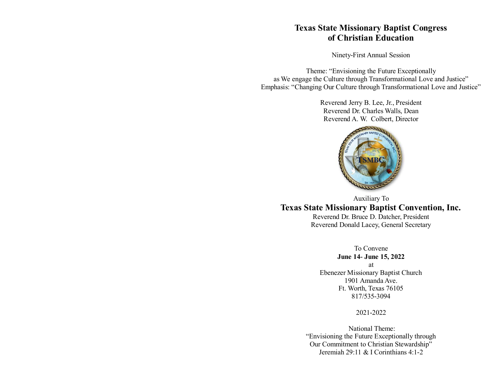# **Texas State Missionary Baptist Congress of Christian Education**

Ninety-First Annual Session

Theme: "Envisioning the Future Exceptionally as We engage the Culture through Transformational Love and Justice" Emphasis: "Changing Our Culture through Transformational Love and Justice"

> Reverend Jerry B. Lee, Jr., President Reverend Dr. Charles Walls, Dean Reverend A. W. Colbert, Director



Auxiliary To **Texas State Missionary Baptist Convention, Inc.**

Reverend Dr. Bruce D. Datcher, President Reverend Donald Lacey, General Secretary

> To Convene **June 14- June 15, 2022**

at Ebenezer Missionary Baptist Church 1901 Amanda Ave. Ft. Worth, Texas 76105 817/535-3094

#### 2021-2022

National Theme: "Envisioning the Future Exceptionally through Our Commitment to Christian Stewardship" Jeremiah 29:11 & I Corinthians 4:1-2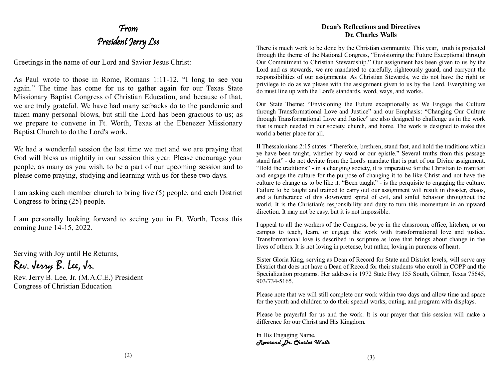# From President Jerry Lee

Greetings in the name of our Lord and Savior Jesus Christ:

As Paul wrote to those in Rome, Romans 1:11-12, "I long to see you again." The time has come for us to gather again for our Texas State Missionary Baptist Congress of Christian Education, and because of that, we are truly grateful. We have had many setbacks do to the pandemic and taken many personal blows, but still the Lord has been gracious to us; as we prepare to convene in Ft. Worth, Texas at the Ebenezer Missionary Baptist Church to do the Lord's work.

We had a wonderful session the last time we met and we are praying that God will bless us mightily in our session this year. Please encourage your people, as many as you wish, to be a part of our upcoming session and to please come praying, studying and learning with us for these two days.

I am asking each member church to bring five (5) people, and each District Congress to bring (25) people.

I am personally looking forward to seeing you in Ft. Worth, Texas this coming June 14-15, 2022.

Serving with Joy until He Returns,

Rev. Jerry B. Lee, Jr.

Rev. Jerry B. Lee, Jr. (M.A.C.E.) President Congress of Christian Education

#### **Dean's Reflections and Directives Dr. Charles Walls**

There is much work to be done by the Christian community. This year, truth is projected through the theme of the National Congress, "Envisioning the Future Exceptional through Our Commitment to Christian Stewardship." Our assignment has been given to us by the Lord and as stewards, we are mandated to carefully, righteously guard, and carryout the responsibilities of our assignments. As Christian Stewards, we do not have the right or privilege to do as we please with the assignment given to us by the Lord. Everything we do must line up with the Lord's standards, word, ways, and works.

Our State Theme: "Envisioning the Future exceptionally as We Engage the Culture through Transformational Love and Justice" and our Emphasis: "Changing Our Culture through Transformational Love and Justice" are also designed to challenge us in the work that is much needed in our society, church, and home. The work is designed to make this world a better place for all.

II Thessalonians 2:15 states: "Therefore, brethren, stand fast, and hold the traditions which ye have been taught, whether by word or our epistle." Several truths from this passage stand fast" - do not deviate from the Lord's mandate that is part of our Divine assignment. "Hold the traditions" - in a changing society, it is imperative for the Christian to manifest and engage the culture for the purpose of changing it to be like Christ and not have the culture to change us to be like it. "Been taught" - is the perquisite to engaging the culture. Failure to be taught and trained to carry out our assignment will result in disaster, chaos, and a furtherance of this downward spiral of evil, and sinful behavior throughout the world. It is the Christian's responsibility and duty to turn this momentum in an upward direction. It may not be easy, but it is not impossible.

I appeal to all the workers of the Congress, be ye in the classroom, office, kitchen, or on campus to teach, learn, or engage the work with transformational love and justice. Transformational love is described in scripture as love that brings about change in the lives of others. It is not loving in pretense, but rather, loving in pureness of heart.

Sister Gloria King, serving as Dean of Record for State and District levels, will serve any District that does not have a Dean of Record for their students who enroll in COPP and the Specialization programs. Her address is 1972 State Hwy 155 South, Gilmer, Texas 75645, 903/734-5165.

Please note that we will still complete our work within two days and allow time and space for the youth and children to do their special works, outing, and program with displays.

Please be prayerful for us and the work. It is our prayer that this session will make a difference for our Christ and His Kingdom.

In His Engaging Name, *Reverend Dr. Charles Walls*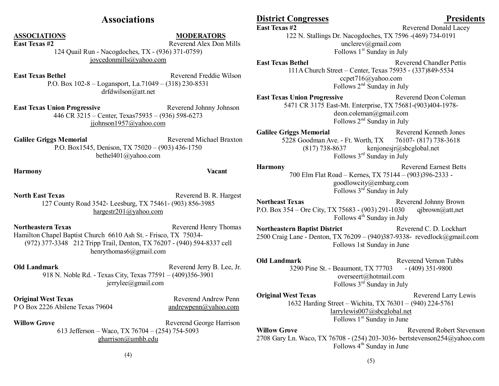# **Associations**

**ASSOCIATIONS MODERATORS**

**East Texas #2** Reverend Alex Don Mills 124 Quail Run - Nacogdoches, TX - (936) 371-0759) joycedonmills@yahoo.com

**East Texas Bethel**  Reverend Freddie Wilson P.O. Box 102-8 – Logansport, La.71049 – (318) 230-8531 [drfdwilson@att.net](mailto:drfdwilson@att.net)

**East Texas Union Progressive Texas Reverend Johnny Johnson** 446 CR 3215 – Center, Texas75935 – (936) 598-6273 jjohnson1957@yahoo.com

Galilee Griggs Memorial **Reverend Michael Braxton** P.O. Box1545, Denison, TX 75020 – (903) 436-1750 bethel401@yahoo.com

**Harmony Vacant**

**North East Texas**  Reverend B. R. Hargest 127 County Road 3542- Leesburg, TX 75461- (903) 856-3985 [hargestr201@yahoo.com](mailto:hargestr201@yahoo.com)

**Northeastern Texas** Reverend Henry Thomas Hamilton Chapel Baptist Church 6610 Ash St. - Frisco, TX 75034- (972) 377-3348 212 Tripp Trail, Denton, TX 76207 - (940) 594-8337 cell henrythomas6@gmail.com

**Old Landmark** Reverend Jerry B. Lee, Jr. 918 N. Noble Rd. - Texas City, Texas 77591 – (409)356-3901 [jerrylee@gmail.com](mailto:jerrylee@gmail.com)

**Original West Texas** Reverend Andrew Penn P O Box 2226 Abilene Texas 79604 [andrewpenn@yahoo.com](mailto:andrewpenn@yahoo.com)

**Willow Grove Reverend George Harrison Reverend George Harrison** 613 Jefferson – Waco, TX 76704 – (254) 754-5093 [gharrison@umhb.edu](mailto:gharrison@umhb.edu)

## **District Congresses Presidents**

**East Texas #2** Reverend Donald Lacey

122 N. Stallings Dr. Nacogdoches, TX 7596 -(469) 734-0191 unclerev@gmail.com Follows  $1<sup>st</sup>$  Sunday in July

**East Texas Bethel** Reverend Chandler Pettis 111A Church Street – Center, Texas 75935 - (337)849-5534 ccpet716@yahoo.com Follows  $2<sup>nd</sup>$  Sunday in July

**East Texas Union Progressive**  Reverend Deon Coleman 5471 CR 3175 East-Mt. Enterprise, TX 75681-(903)404-1978 deon.coleman@gmail.com Follows  $2<sup>nd</sup>$  Sunday in July

Galilee Griggs Memorial **Reverend Kenneth Jones** 5228 Goodman Ave. - Ft. Worth, TX 76107- (817) 738-3618 (817) 738-8637 kenjonesjr@sbcglobal.net Follows 3rd Sunday in July

**Harmony** Reverend Earnest Betts 700 Elm Flat Road – Kernes, TX 75144 – (903)396-2333 goodlowcity@embarg.com Follows  $3<sup>rd</sup>$  Sunday in July

**Northeast Texas Reverend Johnny Brown** P.O. Box 354 – Ore City, TX 75683 - (903) 291-1030 qjbrown@att,net Follows  $4^{th}$  Sunday in July

**Northeastern Baptist District Reverend C. D. Lockhart** 2500 Craig Lane - Denton, TX 76209 – (940)387-9338- revedlock@gmail.com Follows 1st Sunday in June

**Old Landmark Reverend Vernon Tubbs Reverend Vernon Tubbs** 3290 Pine St. - Beaumont, TX 77703 - (409) 351-9800 overseert@hotmail.com Follows  $3<sup>rd</sup>$  Sunday in July

**Original West Texas** Reverend Larry Lewis 1632 Harding Street – Wichita, TX 76301 – (940) 224-5761 [larrylewis007@sbcglobal.net](mailto:larrylewis007@sbcglobal.net) Follows 1<sup>st</sup> Sunday in June

**Willow Grove Reverend Robert Stevenson** 2708 Gary Ln. Waco, TX 76708 - (254) 203-3036- bertstevenson254@yahoo.com Follows  $4<sup>th</sup>$  Sunday in June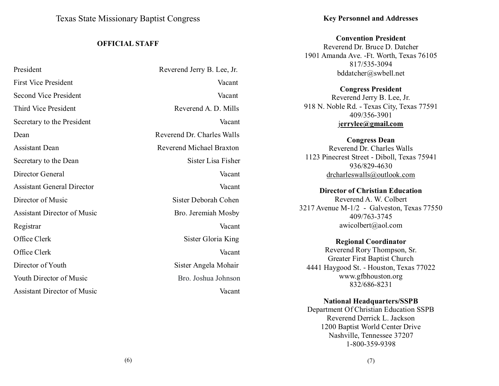Texas State Missionary Baptist Congress

#### **OFFICIAL STAFF**

| President                          | Reverend Jerry B. Lee, Jr. |
|------------------------------------|----------------------------|
| First Vice President               | Vacant                     |
| Second Vice President              | Vacant                     |
| Third Vice President               | Reverend A. D. Mills       |
| Secretary to the President         | Vacant                     |
| Dean                               | Reverend Dr. Charles Walls |
| <b>Assistant Dean</b>              | Reverend Michael Braxton   |
| Secretary to the Dean              | Sister Lisa Fisher         |
| Director General                   | Vacant                     |
| <b>Assistant General Director</b>  | Vacant                     |
| Director of Music                  | Sister Deborah Cohen       |
| <b>Assistant Director of Music</b> | Bro. Jeremiah Mosby        |
| Registrar                          | Vacant                     |
| Office Clerk                       | Sister Gloria King         |
| Office Clerk                       | Vacant                     |
| Director of Youth                  | Sister Angela Mohair       |
| Youth Director of Music            | Bro. Joshua Johnson        |
| <b>Assistant Director of Music</b> | Vacant                     |

#### **Key Personnel and Addresses**

**Convention President**

Reverend Dr. Bruce D. Datcher 1901 Amanda Ave. -Ft. Worth, Texas 76105 817/535-3094 [bddatcher@swbell.net](mailto:bddatcher@swbell.net)

**Congress President** Reverend Jerry B. Lee, Jr. 918 N. Noble Rd. - Texas City, Texas 77591 409/356-3901 [j](mailto:rev.burleyhudson@yahoo.com)**errylee@gmail.com**

**Congress Dean** Reverend Dr. Charles Walls 1123 Pinecrest Street - Diboll, Texas 75941 936/829-4630 drcharleswalls@outlook.com

**Director of Christian Education** Reverend A. W. Colbert 3217 Avenue M-1/2 - Galveston, Texas 77550 409/763-3745 [awicolbert@aol.com](mailto:awicolbert@aol.com)

**Regional Coordinator** Reverend Rory Thompson, Sr. Greater First Baptist Church 4441 Haygood St. - Houston, Texas 77022 [www.gfbhouston.org](http://www.gfbhouston.org/) 832/686-8231

**National Headquarters/SSPB** Department Of Christian Education SSPB Reverend Derrick L. Jackson 1200 Baptist World Center Drive Nashville, Tennessee 37207 1-800-359-9398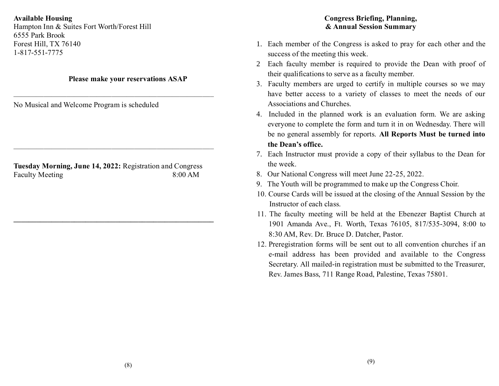**Available Housing** Hampton Inn & Suites Fort Worth/Forest Hill 6555 Park Brook Forest Hill, TX 76140 1-817-551-7775

#### **Please make your reservations ASAP**

——————————————————————————–

No Musical and Welcome Program is scheduled

**Tuesday Morning, June 14, 2022:** Registration and Congress Faculty Meeting 8:00 AM

——————————————————————————–

 $\mathcal{L}_\mathcal{L} = \{ \mathcal{L}_\mathcal{L} \}$  , where  $\mathcal{L}_\mathcal{L} = \{ \mathcal{L}_\mathcal{L} \}$  , where  $\mathcal{L}_\mathcal{L} = \{ \mathcal{L}_\mathcal{L} \}$  , where  $\mathcal{L}_\mathcal{L} = \{ \mathcal{L}_\mathcal{L} \}$ 

## **Congress Briefing, Planning, & Annual Session Summary**

- 1. Each member of the Congress is asked to pray for each other and the success of the meeting this week.
- 2 Each faculty member is required to provide the Dean with proof of their qualifications to serve as a faculty member.
- 3. Faculty members are urged to certify in multiple courses so we may have better access to a variety of classes to meet the needs of our Associations and Churches.
- 4. Included in the planned work is an evaluation form. We are asking everyone to complete the form and turn it in on Wednesday. There will be no general assembly for reports. **All Reports Must be turned into the Dean's office.**
- 7. Each Instructor must provide a copy of their syllabus to the Dean for the week.
- 8. Our National Congress will meet June 22-25, 2022.
- 9. The Youth will be programmed to make up the Congress Choir.
- 10. Course Cards will be issued at the closing of the Annual Session by the Instructor of each class.
- 11. The faculty meeting will be held at the Ebenezer Baptist Church at 1901 Amanda Ave., Ft. Worth, Texas 76105, 817/535-3094, 8:00 to 8:30 AM, Rev. Dr. Bruce D. Datcher, Pastor.
- 12. Preregistration forms will be sent out to all convention churches if an e-mail address has been provided and available to the Congress Secretary. All mailed-in registration must be submitted to the Treasurer, Rev. James Bass, 711 Range Road, Palestine, Texas 75801.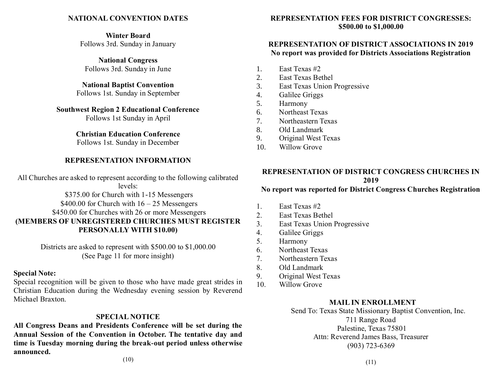#### **NATIONAL CONVENTION DATES**

**Winter Board** Follows 3rd. Sunday in January

**National Congress** Follows 3rd. Sunday in June

**National Baptist Convention** Follows 1st. Sunday in September

**Southwest Region 2 Educational Conference** Follows 1st Sunday in April

> **Christian Education Conference** Follows 1st. Sunday in December

#### **REPRESENTATION INFORMATION**

All Churches are asked to represent according to the following calibrated levels:

\$375.00 for Church with 1-15 Messengers \$400.00 for Church with  $16 - 25$  Messengers \$450.00 for Churches with 26 or more Messengers **(MEMBERS OF UNREGISTERED CHURCHES MUST REGISTER PERSONALLY WITH \$10.00)**

> Districts are asked to represent with \$500.00 to \$1,000.00 (See Page 11 for more insight)

#### **Special Note:**

Special recognition will be given to those who have made great strides in Christian Education during the Wednesday evening session by Reverend Michael Braxton.

#### **SPECIAL NOTICE**

**All Congress Deans and Presidents Conference will be set during the Annual Session of the Convention in October. The tentative day and time is Tuesday morning during the break-out period unless otherwise announced.**

**REPRESENTATION FEES FOR DISTRICT CONGRESSES: \$500.00 to \$1,000.00**

#### **REPRESENTATION OF DISTRICT ASSOCIATIONS IN 2019 No report was provided for Districts Associations Registration**

- 1. East Texas #2
- 2. East Texas Bethel
- 3. East Texas Union Progressive
- 4. Galilee Griggs
- 5. Harmony
- 6. Northeast Texas
- 7. Northeastern Texas
- 8. Old Landmark
- 9. Original West Texas
- 10. Willow Grove

#### **REPRESENTATION OF DISTRICT CONGRESS CHURCHES IN 2019**

#### **No report was reported for District Congress Churches Registration**

- 1. East Texas #2
- 2. East Texas Bethel
- 3. East Texas Union Progressive
- 4. Galilee Griggs
- 5. Harmony
- 6. Northeast Texas
- 7. Northeastern Texas
- 8. Old Landmark
- 9. Original West Texas
- 10. Willow Grove

#### **MAIL IN ENROLLMENT**

 Send To: Texas State Missionary Baptist Convention, Inc. 711 Range Road Palestine, Texas 75801 Attn: Reverend James Bass, Treasurer (903) 723-6369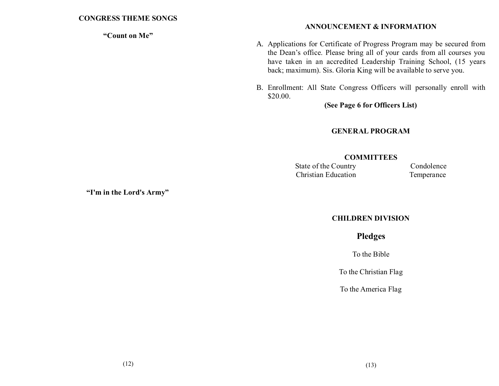#### **"Count on Me"**

## **ANNOUNCEMENT & INFORMATION**

- A. Applications for Certificate of Progress Program may be secured from the Dean's office. Please bring all of your cards from all courses you have taken in an accredited Leadership Training School, (15 years back; maximum). Sis. Gloria King will be available to serve you.
- B. Enrollment: All State Congress Officers will personally enroll with \$20.00.

**(See Page 6 for Officers List)**

# **GENERAL PROGRAM**

#### **COMMITTEES**

State of the Country Condolence Christian Education Temperance

**"I'm in the Lord's Army"**

## **CHILDREN DIVISION**

**Pledges**

To the Bible

To the Christian Flag

To the America Flag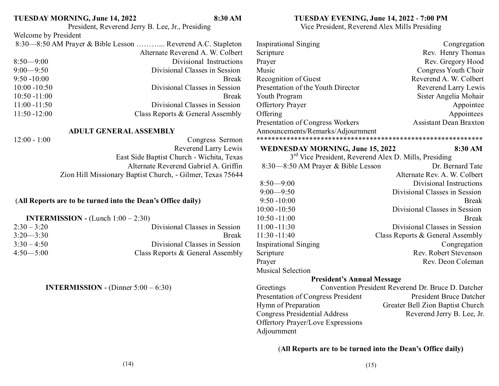#### **TUESDAY MORNING, June 14, 2022 8:30 AM** President, Reverend Jerry B. Lee, Jr., Presiding

#### **TUESDAY EVENING, June 14, 2022 - 7:00 PM**

Vice President, Reverend Alex Mills Presiding

| Welcome by President                                                                                                                             |                                               |                                         |                                                                   |
|--------------------------------------------------------------------------------------------------------------------------------------------------|-----------------------------------------------|-----------------------------------------|-------------------------------------------------------------------|
| 8:30—8:50 AM Prayer & Bible Lesson  Reverend A.C. Stapleton                                                                                      |                                               | <b>Inspirational Singing</b>            | Congregation                                                      |
|                                                                                                                                                  | Alternate Reverend A. W. Colbert              | Scripture                               | Rev. Henry Thomas                                                 |
| $8:50 - 9:00$                                                                                                                                    | Divisional Instructions                       | Prayer                                  | Rev. Gregory Hood                                                 |
| $9:00 - 9:50$                                                                                                                                    | Divisional Classes in Session                 | Music                                   | Congress Youth Choir                                              |
| $9:50 - 10:00$                                                                                                                                   | <b>Break</b>                                  | Recognition of Guest                    | Reverend A. W. Colbert                                            |
| $10:00 - 10:50$                                                                                                                                  | Divisional Classes in Session                 | Presentation of the Youth Director      | Reverend Larry Lewis                                              |
| $10:50 - 11:00$                                                                                                                                  | <b>Break</b>                                  | Youth Program                           | Sister Angelia Mohair                                             |
| $11:00 - 11:50$                                                                                                                                  | Divisional Classes in Session                 | <b>Offertory Prayer</b>                 | Appointee                                                         |
| $11:50 - 12:00$                                                                                                                                  | Class Reports & General Assembly              | Offering                                | Appointees                                                        |
|                                                                                                                                                  |                                               | Presentation of Congress Workers        | <b>Assistant Dean Braxton</b>                                     |
| <b>ADULT GENERAL ASSEMBLY</b>                                                                                                                    |                                               | Announcements/Remarks/Adjournment       |                                                                   |
| $12:00 - 1:00$                                                                                                                                   | Congress Sermon                               |                                         |                                                                   |
|                                                                                                                                                  | Reverend Larry Lewis                          | <b>WEDNESDAY MORNING, June 15, 2022</b> | 8:30 AM                                                           |
| East Side Baptist Church - Wichita, Texas<br>Alternate Reverend Gabriel A. Griffin<br>Zion Hill Missionary Baptist Church, - Gilmer, Texas 75644 |                                               |                                         | 3 <sup>rd</sup> Vice President, Reverend Alex D. Mills, Presiding |
|                                                                                                                                                  |                                               | 8:30-8:50 AM Prayer & Bible Lesson      | Dr. Bernard Tate                                                  |
|                                                                                                                                                  |                                               |                                         | Alternate Rev. A. W. Colbert                                      |
|                                                                                                                                                  |                                               | $8:50 - 9:00$                           | Divisional Instructions                                           |
|                                                                                                                                                  |                                               | $9:00 - 9:50$                           | Divisional Classes in Session                                     |
| (All Reports are to be turned into the Dean's Office daily)                                                                                      |                                               | $9:50 - 10:00$                          | <b>Break</b>                                                      |
|                                                                                                                                                  |                                               | $10:00 - 10:50$                         | Divisional Classes in Session                                     |
| <b>INTERMISSION</b> - (Lunch $1:00 - 2:30$ )                                                                                                     |                                               | $10:50 - 11:00$                         | <b>Break</b>                                                      |
| $2:30 - 3:20$                                                                                                                                    | Divisional Classes in Session                 | $11:00 - 11:30$                         | Divisional Classes in Session                                     |
| $3:20 - 3:30$                                                                                                                                    | <b>Break</b>                                  | $11:30 - 11:40$                         | Class Reports & General Assembly                                  |
| $3:30 - 4:50$                                                                                                                                    | Divisional Classes in Session                 | <b>Inspirational Singing</b>            | Congregation                                                      |
| $4:50 - 5:00$                                                                                                                                    | Class Reports & General Assembly              | Scripture                               | Rev. Robert Stevenson                                             |
|                                                                                                                                                  |                                               | Prayer                                  | Rev. Deon Coleman                                                 |
|                                                                                                                                                  |                                               | <b>Musical Selection</b>                |                                                                   |
|                                                                                                                                                  |                                               | <b>President's Annual Message</b>       |                                                                   |
|                                                                                                                                                  | <b>INTERMISSION</b> - (Dinner $5:00 - 6:30$ ) | Greetings                               | Convention President Reverend Dr. Bruce D. Datcher                |
|                                                                                                                                                  |                                               | Presentation of Congress President      | <b>President Bruce Datcher</b>                                    |
|                                                                                                                                                  |                                               | Hymn of Preparation                     | Greater Bell Zion Baptist Church                                  |
|                                                                                                                                                  |                                               | <b>Congress Presidential Address</b>    | Reverend Jerry B. Lee, Jr.                                        |
|                                                                                                                                                  |                                               | Offertory Prayer/Love Expressions       |                                                                   |
|                                                                                                                                                  |                                               | Adjournment                             |                                                                   |

(**All Reports are to be turned into the Dean's Office daily)**

(14)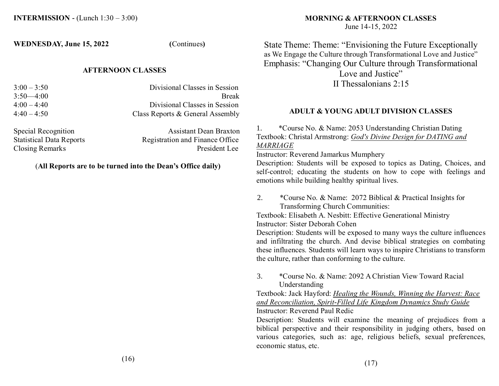**WEDNESDAY, June 15, 2022 (**Continues**)**

#### **AFTERNOON CLASSES**

| $3:00 - 3:50$ | Divisional Classes in Session    |
|---------------|----------------------------------|
| $3:50-4:00$   | <b>Break</b>                     |
| $4:00 - 4:40$ | Divisional Classes in Session    |
| $4:40 - 4:50$ | Class Reports & General Assembly |
|               |                                  |
|               |                                  |

| Special Recognition             | <b>Assistant Dean Braxton</b>   |
|---------------------------------|---------------------------------|
| <b>Statistical Data Reports</b> | Registration and Finance Office |
| Closing Remarks                 | President Lee                   |

#### (**All Reports are to be turned into the Dean's Office daily)**

# **MORNING & AFTERNOON CLASSES**

June 14-15, 2022

State Theme: Theme: "Envisioning the Future Exceptionally as We Engage the Culture through Transformational Love and Justice" Emphasis: "Changing Our Culture through Transformational

Love and Justice" II Thessalonians 2:15

#### **ADULT & YOUNG ADULT DIVISION CLASSES**

1. \*Course No. & Name: 2053 Understanding Christian Dating Textbook: Christal Armstrong: *God's Divine Design for DATING and MARRIAGE*

Instructor: Reverend Jamarkus Mumphery

Description: Students will be exposed to topics as Dating, Choices, and self-control; educating the students on how to cope with feelings and emotions while building healthy spiritual lives.

2. \*Course No. & Name: 2072 Biblical & Practical Insights for Transforming Church Communities:

Textbook: Elisabeth A. Nesbitt: Effective Generational Ministry Instructor: Sister Deborah Cohen

Description: Students will be exposed to many ways the culture influences and infiltrating the church. And devise biblical strategies on combating these influences. Students will learn ways to inspire Christians to transform the culture, rather than conforming to the culture.

3. \*Course No. & Name: 2092 A Christian View Toward Racial Understanding

Textbook: Jack Hayford: *Healing the Wounds, Winning the Harvest: Race and Reconciliation, Spirit-Filled Life Kingdom Dynamics Study Guide* Instructor: Reverend Paul Redic

Description: Students will examine the meaning of prejudices from a biblical perspective and their responsibility in judging others, based on various categories, such as: age, religious beliefs, sexual preferences, economic status, etc.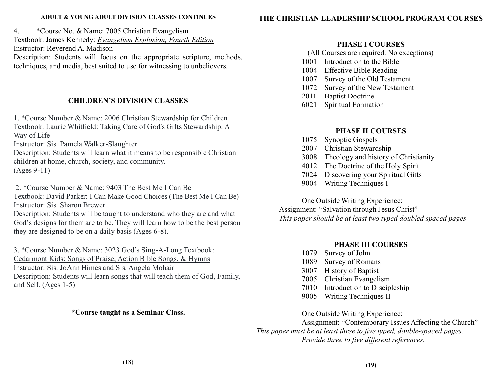#### **ADULT & YOUNG ADULT DIVISION CLASSES CONTINUES**

4. \*Course No. & Name: 7005 Christian Evangelism

Textbook: James Kennedy: *Evangelism Explosion, Fourth Edition*

Instructor: Reverend A. Madison

Description: Students will focus on the appropriate scripture, methods, techniques, and media, best suited to use for witnessing to unbelievers.

#### **CHILDREN'S DIVISION CLASSES**

1. \*Course Number & Name: 2006 Christian Stewardship for Children Textbook: Laurie Whitfield: Taking Care of God's Gifts Stewardship: A Way of Life

Instructor: Sis. Pamela Walker-Slaughter

Description: Students will learn what it means to be responsible Christian children at home, church, society, and community.

(Ages 9-11)

2. \*Course Number & Name: 9403 The Best Me I Can Be

Textbook: David Parker: I Can Make Good Choices (The Best Me I Can Be) Instructor: Sis. Sharon Brewer

Description: Students will be taught to understand who they are and what God's designs for them are to be. They will learn how to be the best person they are designed to be on a daily basis (Ages 6-8).

3. \*Course Number & Name: 3023 God's Sing-A-Long Textbook: Cedarmont Kids: Songs of Praise, Action Bible Songs, & Hymns Instructor: Sis. JoAnn Himes and Sis. Angela Mohair Description: Students will learn songs that will teach them of God, Family, and Self. (Ages 1-5)

#### **\*Course taught as a Seminar Class.**

#### **THE CHRISTIAN LEADERSHIP SCHOOL PROGRAM COURSES**

#### **PHASE I COURSES**

- (All Courses are required. No exceptions)
- 1001 Introduction to the Bible
- 1004 Effective Bible Reading
- 1007 Survey of the Old Testament
- 1072 Survey of the New Testament
- 2011 Baptist Doctrine
- 6021 Spiritual Formation

#### **PHASE II COURSES**

- 1075 Synoptic Gospels
- 2007 Christian Stewardship
- 3008 Theology and history of Christianity
- 4012 The Doctrine of the Holy Spirit
- 7024 Discovering your Spiritual Gifts
- 9004 Writing Techniques I

One Outside Writing Experience: Assignment: "Salvation through Jesus Christ" *This paper should be at least two typed doubled spaced pages*

## **PHASE III COURSES**

- 1079 Survey of John
- 1089 Survey of Romans
- 3007 History of Baptist
- 7005 Christian Evangelism
- 7010 Introduction to Discipleship
- 9005 Writing Techniques II

One Outside Writing Experience:

Assignment: "Contemporary Issues Affecting the Church" *This paper must be at least three to five typed, double-spaced pages. Provide three to five different references.*